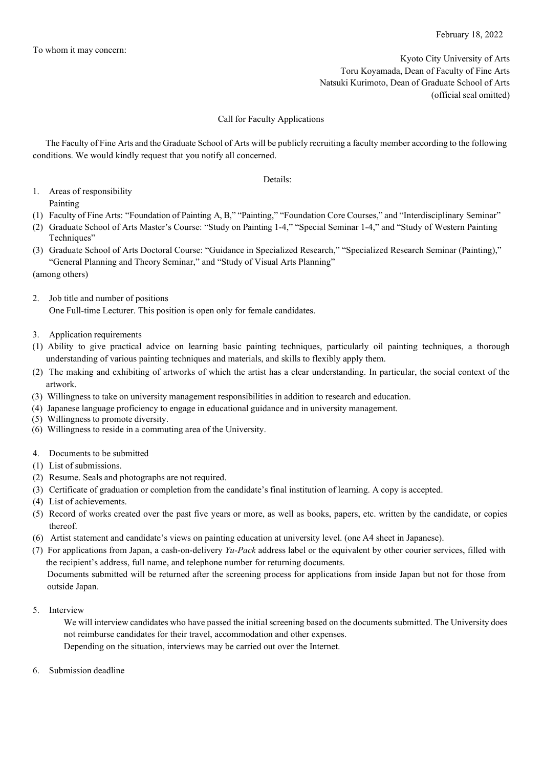Kyoto City University of Arts Toru Koyamada, Dean of Faculty of Fine Arts Natsuki Kurimoto, Dean of Graduate School of Arts (official seal omitted)

## Call for Faculty Applications

The Faculty of Fine Arts and the Graduate School of Arts will be publicly recruiting a faculty member according to the following conditions. We would kindly request that you notify all concerned.

Details:

- 1. Areas of responsibility Painting
- (1) Faculty of Fine Arts: "Foundation of Painting A, B," "Painting," "Foundation Core Courses," and "Interdisciplinary Seminar"
- (2) Graduate School of Arts Master's Course: "Study on Painting 1-4," "Special Seminar 1-4," and "Study of Western Painting Techniques"
- (3) Graduate School of Arts Doctoral Course: "Guidance in Specialized Research," "Specialized Research Seminar (Painting)," "General Planning and Theory Seminar," and "Study of Visual Arts Planning"
- (among others)
- 2. Job title and number of positions One Full-time Lecturer. This position is open only for female candidates.
- 3. Application requirements
- (1) Ability to give practical advice on learning basic painting techniques, particularly oil painting techniques, a thorough understanding of various painting techniques and materials, and skills to flexibly apply them.
- (2) The making and exhibiting of artworks of which the artist has a clear understanding. In particular, the social context of the artwork.
- (3) Willingness to take on university management responsibilities in addition to research and education.
- (4) Japanese language proficiency to engage in educational guidance and in university management.
- (5) Willingness to promote diversity.
- (6) Willingness to reside in a commuting area of the University.
- 4. Documents to be submitted
- (1) List of submissions.
- (2) Resume. Seals and photographs are not required.
- (3) Certificate of graduation or completion from the candidate's final institution of learning. A copy is accepted.
- (4) List of achievements.
- (5) Record of works created over the past five years or more, as well as books, papers, etc. written by the candidate, or copies thereof.
- (6) Artist statement and candidate's views on painting education at university level. (one A4 sheet in Japanese).
- (7) For applications from Japan, a cash-on-delivery *Yu-Pack* address label or the equivalent by other courier services, filled with the recipient's address, full name, and telephone number for returning documents. Documents submitted will be returned after the screening process for applications from inside Japan but not for those from
- 5. Interview

outside Japan.

- We will interview candidates who have passed the initial screening based on the documents submitted. The University does not reimburse candidates for their travel, accommodation and other expenses. Depending on the situation, interviews may be carried out over the Internet.
- 6. Submission deadline